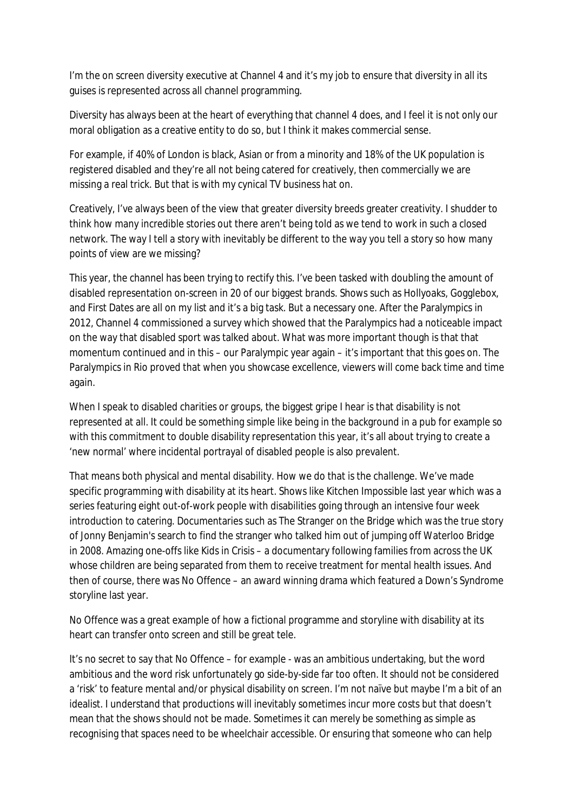I'm the on screen diversity executive at Channel 4 and it's my job to ensure that diversity in all its guises is represented across all channel programming.

Diversity has always been at the heart of everything that channel 4 does, and I feel it is not only our moral obligation as a creative entity to do so, but I think it makes commercial sense.

For example, if 40% of London is black, Asian or from a minority and 18% of the UK population is registered disabled and they're all not being catered for creatively, then commercially we are missing a real trick. But that is with my cynical TV business hat on.

Creatively, I've always been of the view that greater diversity breeds greater creativity. I shudder to think how many incredible stories out there aren't being told as we tend to work in such a closed network. The way I tell a story with inevitably be different to the way you tell a story so how many points of view are we missing?

This year, the channel has been trying to rectify this. I've been tasked with doubling the amount of disabled representation on-screen in 20 of our biggest brands. Shows such as Hollyoaks, Gogglebox, and First Dates are all on my list and it's a big task. But a necessary one. After the Paralympics in 2012, Channel 4 commissioned a survey which showed that the Paralympics had a noticeable impact on the way that disabled sport was talked about. What was more important though is that that momentum continued and in this – our Paralympic year again – it's important that this goes on. The Paralympics in Rio proved that when you showcase excellence, viewers will come back time and time again.

When I speak to disabled charities or groups, the biggest gripe I hear is that disability is not represented at all. It could be something simple like being in the background in a pub for example so with this commitment to double disability representation this year, it's all about trying to create a 'new normal' where incidental portrayal of disabled people is also prevalent.

That means both physical and mental disability. How we do that is the challenge. We've made specific programming with disability at its heart. Shows like Kitchen Impossible last year which was a series featuring eight out-of-work people with disabilities going through an intensive four week introduction to catering. Documentaries such as The Stranger on the Bridge which was the true story of Jonny Benjamin's search to find the stranger who talked him out of jumping off Waterloo Bridge in 2008. Amazing one-offs like Kids in Crisis – a documentary following families from across the UK whose children are being separated from them to receive treatment for mental health issues. And then of course, there was No Offence – an award winning drama which featured a Down's Syndrome storyline last year.

No Offence was a great example of how a fictional programme and storyline with disability at its heart can transfer onto screen and still be great tele.

It's no secret to say that No Offence – for example - was an ambitious undertaking, but the word ambitious and the word risk unfortunately go side-by-side far too often. It should not be considered a 'risk' to feature mental and/or physical disability on screen. I'm not naïve but maybe I'm a bit of an idealist. I understand that productions will inevitably sometimes incur more costs but that doesn't mean that the shows should not be made. Sometimes it can merely be something as simple as recognising that spaces need to be wheelchair accessible. Or ensuring that someone who can help